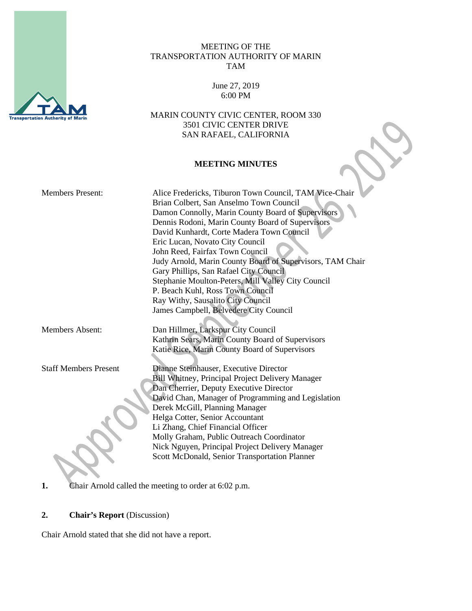

## MEETING OF THE TRANSPORTATION AUTHORITY OF MARIN TAM

June 27, 2019 6:00 PM

MARIN COUNTY CIVIC CENTER, ROOM 330 3501 CIVIC CENTER DRIVE SAN RAFAEL, CALIFORNIA

### **MEETING MINUTES**

|                              | <b>MEETING MINUTES</b>                                                                                                                                                                                                                                                                                                                                                                                                                                                                                                                                                                                        |
|------------------------------|---------------------------------------------------------------------------------------------------------------------------------------------------------------------------------------------------------------------------------------------------------------------------------------------------------------------------------------------------------------------------------------------------------------------------------------------------------------------------------------------------------------------------------------------------------------------------------------------------------------|
| <b>Members Present:</b>      | Alice Fredericks, Tiburon Town Council, TAM Vice-Chair<br>Brian Colbert, San Anselmo Town Council<br>Damon Connolly, Marin County Board of Supervisors<br>Dennis Rodoni, Marin County Board of Supervisors<br>David Kunhardt, Corte Madera Town Council<br>Eric Lucan, Novato City Council<br>John Reed, Fairfax Town Council<br>Judy Arnold, Marin County Board of Supervisors, TAM Chair<br>Gary Phillips, San Rafael City Council<br>Stephanie Moulton-Peters, Mill Valley City Council<br>P. Beach Kuhl, Ross Town Council<br>Ray Withy, Sausalito City Council<br>James Campbell, Belvedere City Council |
| <b>Members Absent:</b>       | Dan Hillmer, Larkspur City Council<br>Kathrin Sears, Marin County Board of Supervisors<br>Katie Rice, Marin County Board of Supervisors                                                                                                                                                                                                                                                                                                                                                                                                                                                                       |
| <b>Staff Members Present</b> | Dianne Steinhauser, Executive Director<br>Bill Whitney, Principal Project Delivery Manager<br>Dan Cherrier, Deputy Executive Director<br>David Chan, Manager of Programming and Legislation<br>Derek McGill, Planning Manager<br>Helga Cotter, Senior Accountant<br>Li Zhang, Chief Financial Officer<br>Molly Graham, Public Outreach Coordinator<br>Nick Nguyen, Principal Project Delivery Manager<br>Scott McDonald, Senior Transportation Planner                                                                                                                                                        |

**1.** Chair Arnold called the meeting to order at 6:02 p.m.

# **2. Chair's Report** (Discussion)

Chair Arnold stated that she did not have a report.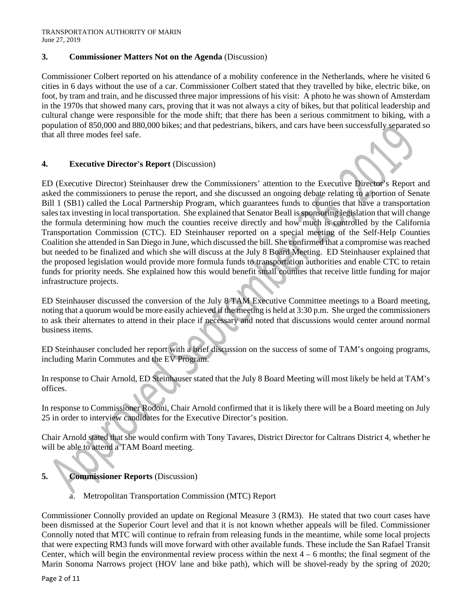# **3. Commissioner Matters Not on the Agenda** (Discussion)

Commissioner Colbert reported on his attendance of a mobility conference in the Netherlands, where he visited 6 cities in 6 days without the use of a car. Commissioner Colbert stated that they travelled by bike, electric bike, on foot, by tram and train, and he discussed three major impressions of his visit: A photo he was shown of Amsterdam in the 1970s that showed many cars, proving that it was not always a city of bikes, but that political leadership and cultural change were responsible for the mode shift; that there has been a serious commitment to biking, with a population of 850,000 and 880,000 bikes; and that pedestrians, bikers, and cars have been successfully separated so that all three modes feel safe.

### **4. Executive Director's Report** (Discussion)

ED (Executive Director) Steinhauser drew the Commissioners' attention to the Executive Director's Report and asked the commissioners to peruse the report, and she discussed an ongoing debate relating to a portion of Senate Bill 1 (SB1) called the Local Partnership Program, which guarantees funds to counties that have a transportation sales tax investing in local transportation. She explained that Senator Beall is sponsoring legislation that will change the formula determining how much the counties receive directly and how much is controlled by the California Transportation Commission (CTC). ED Steinhauser reported on a special meeting of the Self-Help Counties Coalition she attended in San Diego in June, which discussed the bill. She confirmed that a compromise was reached but needed to be finalized and which she will discuss at the July 8 Board Meeting. ED Steinhauser explained that the proposed legislation would provide more formula funds to transportation authorities and enable CTC to retain funds for priority needs. She explained how this would benefit small counites that receive little funding for major infrastructure projects.

ED Steinhauser discussed the conversion of the July 8 TAM Executive Committee meetings to a Board meeting, noting that a quorum would be more easily achieved if the meeting is held at 3:30 p.m. She urged the commissioners to ask their alternates to attend in their place if necessary and noted that discussions would center around normal business items.

ED Steinhauser concluded her report with a brief discussion on the success of some of TAM's ongoing programs, including Marin Commutes and the EV Program.

In response to Chair Arnold, ED Steinhauser stated that the July 8 Board Meeting will most likely be held at TAM's offices.

In response to Commissioner Rodoni, Chair Arnold confirmed that it is likely there will be a Board meeting on July 25 in order to interview candidates for the Executive Director's position.

Chair Arnold stated that she would confirm with Tony Tavares, District Director for Caltrans District 4, whether he will be able to attend a TAM Board meeting.

# **5. Commissioner Reports** (Discussion)

a. Metropolitan Transportation Commission (MTC) Report

Commissioner Connolly provided an update on Regional Measure 3 (RM3). He stated that two court cases have been dismissed at the Superior Court level and that it is not known whether appeals will be filed. Commissioner Connolly noted that MTC will continue to refrain from releasing funds in the meantime, while some local projects that were expecting RM3 funds will move forward with other available funds. These include the San Rafael Transit Center, which will begin the environmental review process within the next  $4 - 6$  months; the final segment of the Marin Sonoma Narrows project (HOV lane and bike path), which will be shovel-ready by the spring of 2020;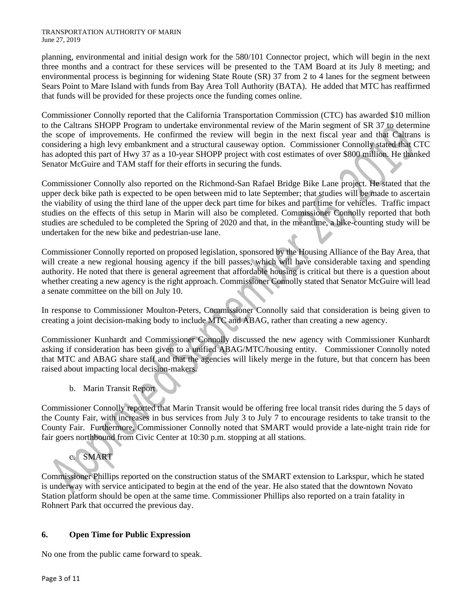#### TRANSPORTATION AUTHORITY OF MARIN June 27, 2019

planning, environmental and initial design work for the 580/101 Connector project, which will begin in the next three months and a contract for these services will be presented to the TAM Board at its July 8 meeting; and environmental process is beginning for widening State Route (SR) 37 from 2 to 4 lanes for the segment between Sears Point to Mare Island with funds from Bay Area Toll Authority (BATA). He added that MTC has reaffirmed that funds will be provided for these projects once the funding comes online.

Commissioner Connolly reported that the California Transportation Commission (CTC) has awarded \$10 million to the Caltrans SHOPP Program to undertake environmental review of the Marin segment of SR 37 to determine the scope of improvements. He confirmed the review will begin in the next fiscal year and that Caltrans is considering a high levy embankment and a structural causeway option. Commissioner Connolly stated that CTC has adopted this part of Hwy 37 as a 10-year SHOPP project with cost estimates of over \$800 million. He thanked Senator McGuire and TAM staff for their efforts in securing the funds.

Commissioner Connolly also reported on the Richmond-San Rafael Bridge Bike Lane project. He stated that the upper deck bike path is expected to be open between mid to late September; that studies will be made to ascertain the viability of using the third lane of the upper deck part time for bikes and part time for vehicles. Traffic impact studies on the effects of this setup in Marin will also be completed. Commissioner Connolly reported that both studies are scheduled to be completed the Spring of 2020 and that, in the meantime, a bike-counting study will be undertaken for the new bike and pedestrian-use lane.

Commissioner Connolly reported on proposed legislation, sponsored by the Housing Alliance of the Bay Area, that will create a new regional housing agency if the bill passes, which will have considerable taxing and spending authority. He noted that there is general agreement that affordable housing is critical but there is a question about whether creating a new agency is the right approach. Commissioner Connolly stated that Senator McGuire will lead a senate committee on the bill on July 10.

In response to Commissioner Moulton-Peters, Commissioner Connolly said that consideration is being given to creating a joint decision-making body to include MTC and ABAG, rather than creating a new agency.

Commissioner Kunhardt and Commissioner Connolly discussed the new agency with Commissioner Kunhardt asking if consideration has been given to a unified ABAG/MTC/housing entity. Commissioner Connolly noted that MTC and ABAG share staff and that the agencies will likely merge in the future, but that concern has been raised about impacting local decision-makers.

b. Marin Transit Report

Commissioner Connolly reported that Marin Transit would be offering free local transit rides during the 5 days of the County Fair, with increases in bus services from July 3 to July 7 to encourage residents to take transit to the County Fair. Furthermore, Commissioner Connolly noted that SMART would provide a late-night train ride for fair goers northbound from Civic Center at 10:30 p.m. stopping at all stations.

c. SMART

Commissioner Phillips reported on the construction status of the SMART extension to Larkspur, which he stated is underway with service anticipated to begin at the end of the year. He also stated that the downtown Novato Station platform should be open at the same time. Commissioner Phillips also reported on a train fatality in Rohnert Park that occurred the previous day.

# **6. Open Time for Public Expression**

No one from the public came forward to speak.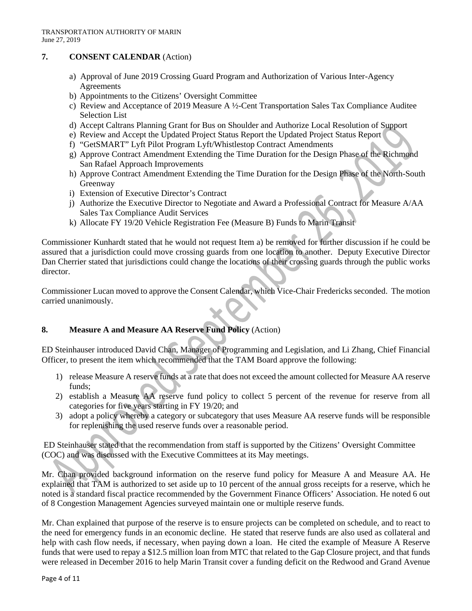# **7. CONSENT CALENDAR** (Action)

- a) Approval of June 2019 Crossing Guard Program and Authorization of Various Inter-Agency **Agreements**
- b) Appointments to the Citizens' Oversight Committee
- c) Review and Acceptance of 2019 Measure A  $\frac{1}{2}$ -Cent Transportation Sales Tax Compliance Auditee Selection List
- d) Accept Caltrans Planning Grant for Bus on Shoulder and Authorize Local Resolution of Support
- e) Review and Accept the Updated Project Status Report the Updated Project Status Report
- f) "GetSMART" Lyft Pilot Program Lyft/Whistlestop Contract Amendments
- g) Approve Contract Amendment Extending the Time Duration for the Design Phase of the Richmond San Rafael Approach Improvements
- h) Approve Contract Amendment Extending the Time Duration for the Design Phase of the North-South Greenway
- i) Extension of Executive Director's Contract
- j) Authorize the Executive Director to Negotiate and Award a Professional Contract for Measure A/AA Sales Tax Compliance Audit Services
- k) Allocate FY 19/20 Vehicle Registration Fee (Measure B) Funds to Marin Transit

Commissioner Kunhardt stated that he would not request Item a) be removed for further discussion if he could be assured that a jurisdiction could move crossing guards from one location to another. Deputy Executive Director Dan Cherrier stated that jurisdictions could change the locations of their crossing guards through the public works director.

Commissioner Lucan moved to approve the Consent Calendar, which Vice-Chair Fredericks seconded. The motion carried unanimously.

# **8. Measure A and Measure AA Reserve Fund Policy** (Action)

ED Steinhauser introduced David Chan, Manager of Programming and Legislation, and Li Zhang, Chief Financial Officer, to present the item which recommended that the TAM Board approve the following:

- 1) release Measure A reserve funds at a rate that does not exceed the amount collected for Measure AA reserve funds;
- 2) establish a Measure AA reserve fund policy to collect 5 percent of the revenue for reserve from all categories for five years starting in FY 19/20; and
- 3) adopt a policy whereby a category or subcategory that uses Measure AA reserve funds will be responsible for replenishing the used reserve funds over a reasonable period.

ED Steinhauser stated that the recommendation from staff is supported by the Citizens' Oversight Committee (COC) and was discussed with the Executive Committees at its May meetings.

Mr. Chan provided background information on the reserve fund policy for Measure A and Measure AA. He explained that TAM is authorized to set aside up to 10 percent of the annual gross receipts for a reserve, which he noted is a standard fiscal practice recommended by the Government Finance Officers' Association. He noted 6 out of 8 Congestion Management Agencies surveyed maintain one or multiple reserve funds.

Mr. Chan explained that purpose of the reserve is to ensure projects can be completed on schedule, and to react to the need for emergency funds in an economic decline. He stated that reserve funds are also used as collateral and help with cash flow needs, if necessary, when paying down a loan. He cited the example of Measure A Reserve funds that were used to repay a \$12.5 million loan from MTC that related to the Gap Closure project, and that funds were released in December 2016 to help Marin Transit cover a funding deficit on the Redwood and Grand Avenue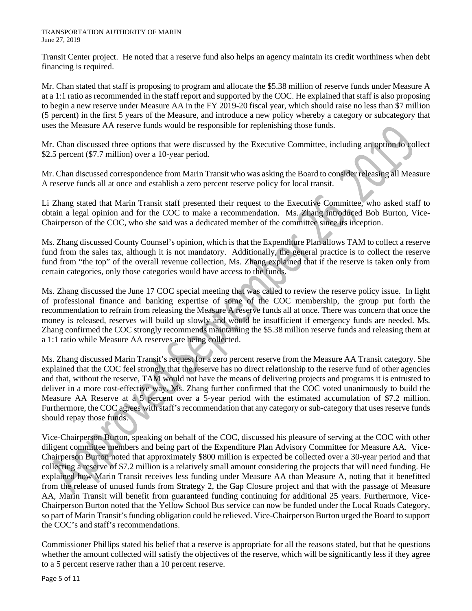Transit Center project. He noted that a reserve fund also helps an agency maintain its credit worthiness when debt financing is required.

Mr. Chan stated that staff is proposing to program and allocate the \$5.38 million of reserve funds under Measure A at a 1:1 ratio as recommended in the staff report and supported by the COC. He explained that staff is also proposing to begin a new reserve under Measure AA in the FY 2019-20 fiscal year, which should raise no less than \$7 million (5 percent) in the first 5 years of the Measure, and introduce a new policy whereby a category or subcategory that uses the Measure AA reserve funds would be responsible for replenishing those funds.

Mr. Chan discussed three options that were discussed by the Executive Committee, including an option to collect \$2.5 percent (\$7.7 million) over a 10-year period.

Mr. Chan discussed correspondence from Marin Transit who was asking the Board to consider releasing all Measure A reserve funds all at once and establish a zero percent reserve policy for local transit.

Li Zhang stated that Marin Transit staff presented their request to the Executive Committee, who asked staff to obtain a legal opinion and for the COC to make a recommendation. Ms. Zhang introduced Bob Burton, Vice-Chairperson of the COC, who she said was a dedicated member of the committee since its inception.

Ms. Zhang discussed County Counsel's opinion, which is that the Expenditure Plan allows TAM to collect a reserve fund from the sales tax, although it is not mandatory. Additionally, the general practice is to collect the reserve fund from "the top" of the overall revenue collection, Ms. Zhang explained that if the reserve is taken only from certain categories, only those categories would have access to the funds.

Ms. Zhang discussed the June 17 COC special meeting that was called to review the reserve policy issue. In light of professional finance and banking expertise of some of the COC membership, the group put forth the recommendation to refrain from releasing the Measure A reserve funds all at once. There was concern that once the money is released, reserves will build up slowly and would be insufficient if emergency funds are needed. Ms. Zhang confirmed the COC strongly recommends maintaining the \$5.38 million reserve funds and releasing them at a 1:1 ratio while Measure AA reserves are being collected.

Ms. Zhang discussed Marin Transit's request for a zero percent reserve from the Measure AA Transit category. She explained that the COC feel strongly that the reserve has no direct relationship to the reserve fund of other agencies and that, without the reserve, TAM would not have the means of delivering projects and programs it is entrusted to deliver in a more cost-effective way. Ms. Zhang further confirmed that the COC voted unanimously to build the Measure AA Reserve at a 5 percent over a 5-year period with the estimated accumulation of \$7.2 million. Furthermore, the COC agrees with staff's recommendation that any category or sub-category that uses reserve funds should repay those funds.

Vice-Chairperson Burton, speaking on behalf of the COC, discussed his pleasure of serving at the COC with other diligent committee members and being part of the Expenditure Plan Advisory Committee for Measure AA. Vice-Chairperson Burton noted that approximately \$800 million is expected be collected over a 30-year period and that collecting a reserve of \$7.2 million is a relatively small amount considering the projects that will need funding. He explained how Marin Transit receives less funding under Measure AA than Measure A, noting that it benefitted from the release of unused funds from Strategy 2, the Gap Closure project and that with the passage of Measure AA, Marin Transit will benefit from guaranteed funding continuing for additional 25 years. Furthermore, Vice-Chairperson Burton noted that the Yellow School Bus service can now be funded under the Local Roads Category, so part of Marin Transit's funding obligation could be relieved. Vice-Chairperson Burton urged the Board to support the COC's and staff's recommendations.

Commissioner Phillips stated his belief that a reserve is appropriate for all the reasons stated, but that he questions whether the amount collected will satisfy the objectives of the reserve, which will be significantly less if they agree to a 5 percent reserve rather than a 10 percent reserve.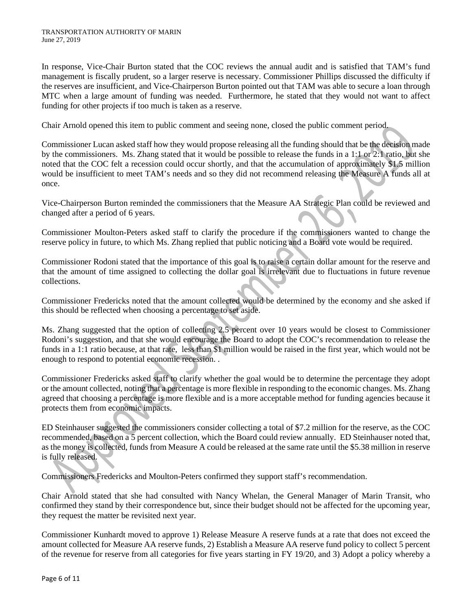In response, Vice-Chair Burton stated that the COC reviews the annual audit and is satisfied that TAM's fund management is fiscally prudent, so a larger reserve is necessary. Commissioner Phillips discussed the difficulty if the reserves are insufficient, and Vice-Chairperson Burton pointed out that TAM was able to secure a loan through MTC when a large amount of funding was needed. Furthermore, he stated that they would not want to affect funding for other projects if too much is taken as a reserve.

Chair Arnold opened this item to public comment and seeing none, closed the public comment period.

Commissioner Lucan asked staff how they would propose releasing all the funding should that be the decision made by the commissioners. Ms. Zhang stated that it would be possible to release the funds in a 1:1 or 2:1 ratio, but she noted that the COC felt a recession could occur shortly, and that the accumulation of approximately \$1.5 million would be insufficient to meet TAM's needs and so they did not recommend releasing the Measure A funds all at once.

Vice-Chairperson Burton reminded the commissioners that the Measure AA Strategic Plan could be reviewed and changed after a period of 6 years.

Commissioner Moulton-Peters asked staff to clarify the procedure if the commissioners wanted to change the reserve policy in future, to which Ms. Zhang replied that public noticing and a Board vote would be required.

Commissioner Rodoni stated that the importance of this goal is to raise a certain dollar amount for the reserve and that the amount of time assigned to collecting the dollar goal is irrelevant due to fluctuations in future revenue collections.

Commissioner Fredericks noted that the amount collected would be determined by the economy and she asked if this should be reflected when choosing a percentage to set aside.

Ms. Zhang suggested that the option of collecting 2.5 percent over 10 years would be closest to Commissioner Rodoni's suggestion, and that she would encourage the Board to adopt the COC's recommendation to release the funds in a 1:1 ratio because, at that rate, less than \$1 million would be raised in the first year, which would not be enough to respond to potential economic recession. .

Commissioner Fredericks asked staff to clarify whether the goal would be to determine the percentage they adopt or the amount collected, noting that a percentage is more flexible in responding to the economic changes. Ms. Zhang agreed that choosing a percentage is more flexible and is a more acceptable method for funding agencies because it protects them from economic impacts.

ED Steinhauser suggested the commissioners consider collecting a total of \$7.2 million for the reserve, as the COC recommended, based on a 5 percent collection, which the Board could review annually. ED Steinhauser noted that, as the money is collected, funds from Measure A could be released at the same rate until the \$5.38 million in reserve is fully released.

Commissioners Fredericks and Moulton-Peters confirmed they support staff's recommendation.

Chair Arnold stated that she had consulted with Nancy Whelan, the General Manager of Marin Transit, who confirmed they stand by their correspondence but, since their budget should not be affected for the upcoming year, they request the matter be revisited next year.

Commissioner Kunhardt moved to approve 1) Release Measure A reserve funds at a rate that does not exceed the amount collected for Measure AA reserve funds, 2) Establish a Measure AA reserve fund policy to collect 5 percent of the revenue for reserve from all categories for five years starting in FY 19/20, and 3) Adopt a policy whereby a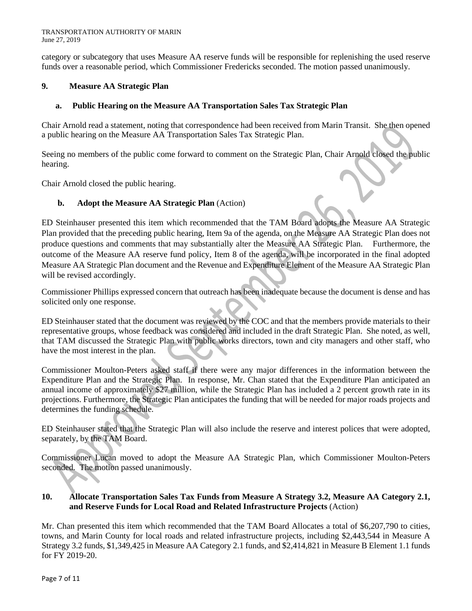category or subcategory that uses Measure AA reserve funds will be responsible for replenishing the used reserve funds over a reasonable period, which Commissioner Fredericks seconded. The motion passed unanimously.

### **9. Measure AA Strategic Plan**

### **a. Public Hearing on the Measure AA Transportation Sales Tax Strategic Plan**

Chair Arnold read a statement, noting that correspondence had been received from Marin Transit. She then opened a public hearing on the Measure AA Transportation Sales Tax Strategic Plan.

Seeing no members of the public come forward to comment on the Strategic Plan, Chair Arnold closed the public hearing.

Chair Arnold closed the public hearing.

### **b. Adopt the Measure AA Strategic Plan** (Action)

ED Steinhauser presented this item which recommended that the TAM Board adopts the Measure AA Strategic Plan provided that the preceding public hearing, Item 9a of the agenda, on the Measure AA Strategic Plan does not produce questions and comments that may substantially alter the Measure AA Strategic Plan. Furthermore, the outcome of the Measure AA reserve fund policy, Item 8 of the agenda, will be incorporated in the final adopted Measure AA Strategic Plan document and the Revenue and Expenditure Element of the Measure AA Strategic Plan will be revised accordingly.

Commissioner Phillips expressed concern that outreach has been inadequate because the document is dense and has solicited only one response.

ED Steinhauser stated that the document was reviewed by the COC and that the members provide materials to their representative groups, whose feedback was considered and included in the draft Strategic Plan. She noted, as well, that TAM discussed the Strategic Plan with public works directors, town and city managers and other staff, who have the most interest in the plan.

Commissioner Moulton-Peters asked staff if there were any major differences in the information between the Expenditure Plan and the Strategic Plan. In response, Mr. Chan stated that the Expenditure Plan anticipated an annual income of approximately \$27 million, while the Strategic Plan has included a 2 percent growth rate in its projections. Furthermore, the Strategic Plan anticipates the funding that will be needed for major roads projects and determines the funding schedule.

ED Steinhauser stated that the Strategic Plan will also include the reserve and interest polices that were adopted, separately, by the TAM Board.

Commissioner Lucan moved to adopt the Measure AA Strategic Plan, which Commissioner Moulton-Peters seconded. The motion passed unanimously.

#### **10. Allocate Transportation Sales Tax Funds from Measure A Strategy 3.2, Measure AA Category 2.1, and Reserve Funds for Local Road and Related Infrastructure Projects** (Action)

Mr. Chan presented this item which recommended that the TAM Board Allocates a total of \$6,207,790 to cities, towns, and Marin County for local roads and related infrastructure projects, including \$2,443,544 in Measure A Strategy 3.2 funds, \$1,349,425 in Measure AA Category 2.1 funds, and \$2,414,821 in Measure B Element 1.1 funds for FY 2019-20.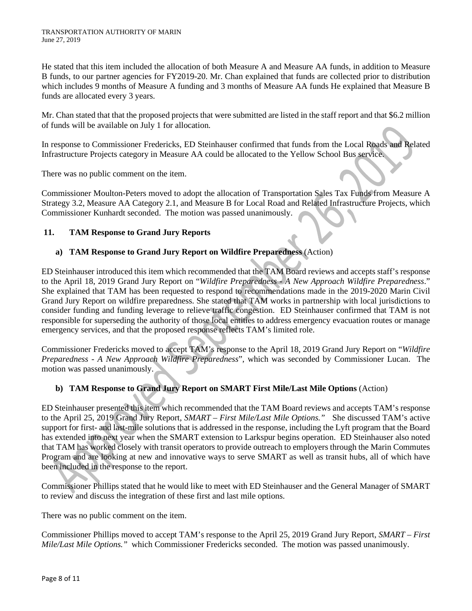He stated that this item included the allocation of both Measure A and Measure AA funds, in addition to Measure B funds, to our partner agencies for FY2019-20. Mr. Chan explained that funds are collected prior to distribution which includes 9 months of Measure A funding and 3 months of Measure AA funds He explained that Measure B funds are allocated every 3 years.

Mr. Chan stated that that the proposed projects that were submitted are listed in the staff report and that \$6.2 million of funds will be available on July 1 for allocation.

In response to Commissioner Fredericks, ED Steinhauser confirmed that funds from the Local Roads and Related Infrastructure Projects category in Measure AA could be allocated to the Yellow School Bus service.

There was no public comment on the item.

Commissioner Moulton-Peters moved to adopt the allocation of Transportation Sales Tax Funds from Measure A Strategy 3.2, Measure AA Category 2.1, and Measure B for Local Road and Related Infrastructure Projects, which Commissioner Kunhardt seconded. The motion was passed unanimously.

### **11. TAM Response to Grand Jury Reports**

### **a) TAM Response to Grand Jury Report on Wildfire Preparedness** (Action)

ED Steinhauser introduced this item which recommended that the TAM Board reviews and accepts staff's response to the April 18, 2019 Grand Jury Report on "*Wildfire Preparedness - A New Approach Wildfire Preparedness*." She explained that TAM has been requested to respond to recommendations made in the 2019-2020 Marin Civil Grand Jury Report on wildfire preparedness. She stated that TAM works in partnership with local jurisdictions to consider funding and funding leverage to relieve traffic congestion. ED Steinhauser confirmed that TAM is not responsible for superseding the authority of those local entities to address emergency evacuation routes or manage emergency services, and that the proposed response reflects TAM's limited role.

Commissioner Fredericks moved to accept TAM's response to the April 18, 2019 Grand Jury Report on "*Wildfire Preparedness - A New Approach Wildfire Preparedness*", which was seconded by Commissioner Lucan. The motion was passed unanimously.

# **b) TAM Response to Grand Jury Report on SMART First Mile/Last Mile Options** (Action)

ED Steinhauser presented this item which recommended that the TAM Board reviews and accepts TAM's response to the April 25, 2019 Grand Jury Report, *SMART – First Mile/Last Mile Options."* She discussed TAM's active support for first- and last-mile solutions that is addressed in the response, including the Lyft program that the Board has extended into next year when the SMART extension to Larkspur begins operation. ED Steinhauser also noted that TAM has worked closely with transit operators to provide outreach to employers through the Marin Commutes Program and are looking at new and innovative ways to serve SMART as well as transit hubs, all of which have been included in the response to the report.

Commissioner Phillips stated that he would like to meet with ED Steinhauser and the General Manager of SMART to review and discuss the integration of these first and last mile options.

There was no public comment on the item.

Commissioner Phillips moved to accept TAM's response to the April 25, 2019 Grand Jury Report, *SMART – First Mile/Last Mile Options."* which Commissioner Fredericks seconded. The motion was passed unanimously.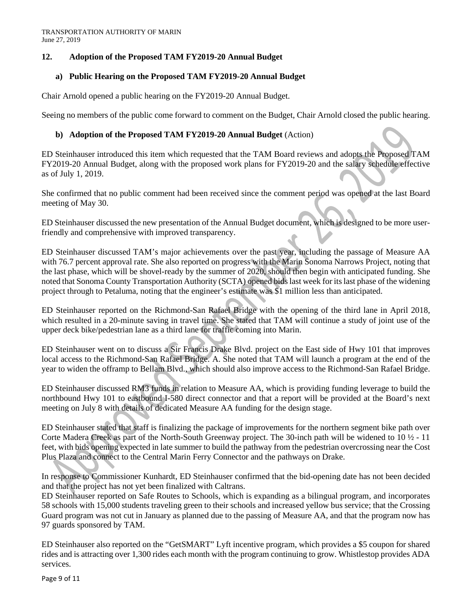## **12. Adoption of the Proposed TAM FY2019-20 Annual Budget**

## **a) Public Hearing on the Proposed TAM FY2019-20 Annual Budget**

Chair Arnold opened a public hearing on the FY2019-20 Annual Budget.

Seeing no members of the public come forward to comment on the Budget, Chair Arnold closed the public hearing.

### **b) Adoption of the Proposed TAM FY2019-20 Annual Budget** (Action)

ED Steinhauser introduced this item which requested that the TAM Board reviews and adopts the Proposed TAM FY2019-20 Annual Budget, along with the proposed work plans for FY2019-20 and the salary schedule effective as of July 1, 2019.

She confirmed that no public comment had been received since the comment period was opened at the last Board meeting of May 30.

ED Steinhauser discussed the new presentation of the Annual Budget document, which is designed to be more userfriendly and comprehensive with improved transparency.

ED Steinhauser discussed TAM's major achievements over the past year, including the passage of Measure AA with 76.7 percent approval rate. She also reported on progress with the Marin Sonoma Narrows Project, noting that the last phase, which will be shovel-ready by the summer of 2020, should then begin with anticipated funding. She noted that Sonoma County Transportation Authority (SCTA) opened bids last week for itslast phase of the widening project through to Petaluma, noting that the engineer's estimate was \$1 million less than anticipated.

ED Steinhauser reported on the Richmond-San Rafael Bridge with the opening of the third lane in April 2018, which resulted in a 20-minute saving in travel time. She stated that TAM will continue a study of joint use of the upper deck bike/pedestrian lane as a third lane for traffic coming into Marin.

ED Steinhauser went on to discuss a Sir Francis Drake Blvd. project on the East side of Hwy 101 that improves local access to the Richmond-San Rafael Bridge. A. She noted that TAM will launch a program at the end of the year to widen the offramp to Bellam Blvd., which should also improve access to the Richmond-San Rafael Bridge.

ED Steinhauser discussed RM3 funds in relation to Measure AA, which is providing funding leverage to build the northbound Hwy 101 to eastbound I-580 direct connector and that a report will be provided at the Board's next meeting on July 8 with details of dedicated Measure AA funding for the design stage.

ED Steinhauser stated that staff is finalizing the package of improvements for the northern segment bike path over Corte Madera Creek as part of the North-South Greenway project. The 30-inch path will be widened to 10 ½ - 11 feet, with bids opening expected in late summer to build the pathway from the pedestrian overcrossing near the Cost Plus Plaza and connect to the Central Marin Ferry Connector and the pathways on Drake.

In response to Commissioner Kunhardt, ED Steinhauser confirmed that the bid-opening date has not been decided and that the project has not yet been finalized with Caltrans.

ED Steinhauser reported on Safe Routes to Schools, which is expanding as a bilingual program, and incorporates 58 schools with 15,000 students traveling green to their schools and increased yellow bus service; that the Crossing Guard program was not cut in January as planned due to the passing of Measure AA, and that the program now has 97 guards sponsored by TAM.

ED Steinhauser also reported on the "GetSMART" Lyft incentive program, which provides a \$5 coupon for shared rides and is attracting over 1,300 rides each month with the program continuing to grow. Whistlestop provides ADA services.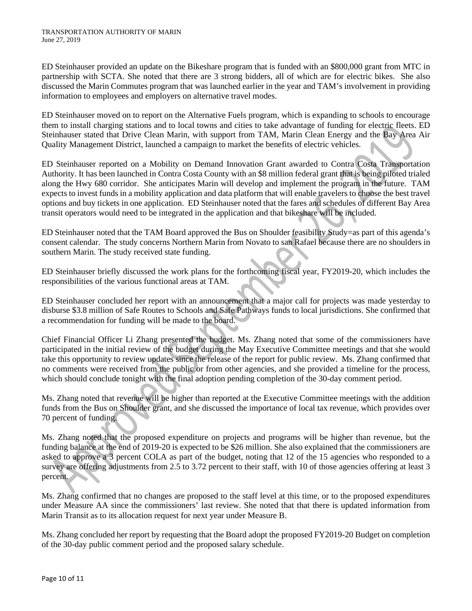ED Steinhauser provided an update on the Bikeshare program that is funded with an \$800,000 grant from MTC in partnership with SCTA. She noted that there are 3 strong bidders, all of which are for electric bikes. She also discussed the Marin Commutes program that was launched earlier in the year and TAM's involvement in providing information to employees and employers on alternative travel modes.

ED Steinhauser moved on to report on the Alternative Fuels program, which is expanding to schools to encourage them to install charging stations and to local towns and cities to take advantage of funding for electric fleets. ED Steinhauser stated that Drive Clean Marin, with support from TAM, Marin Clean Energy and the Bay Area Air Quality Management District, launched a campaign to market the benefits of electric vehicles.

ED Steinhauser reported on a Mobility on Demand Innovation Grant awarded to Contra Costa Transportation Authority. It has been launched in Contra Costa County with an \$8 million federal grant that is being piloted trialed along the Hwy 680 corridor. She anticipates Marin will develop and implement the program in the future. TAM expects to invest funds in a mobility application and data platform that will enable travelers to choose the best travel options and buy tickets in one application. ED Steinhauser noted that the fares and schedules of different Bay Area transit operators would need to be integrated in the application and that bikeshare will be included.

ED Steinhauser noted that the TAM Board approved the Bus on Shoulder feasibility Study=as part of this agenda's consent calendar. The study concerns Northern Marin from Novato to san Rafael because there are no shoulders in southern Marin. The study received state funding.

ED Steinhauser briefly discussed the work plans for the forthcoming fiscal year, FY2019-20, which includes the responsibilities of the various functional areas at TAM.

ED Steinhauser concluded her report with an announcement that a major call for projects was made yesterday to disburse \$3.8 million of Safe Routes to Schools and Safe Pathways funds to local jurisdictions. She confirmed that a recommendation for funding will be made to the board.

Chief Financial Officer Li Zhang presented the budget. Ms. Zhang noted that some of the commissioners have participated in the initial review of the budget during the May Executive Committee meetings and that she would take this opportunity to review updates since the release of the report for public review. Ms. Zhang confirmed that no comments were received from the public or from other agencies, and she provided a timeline for the process, which should conclude tonight with the final adoption pending completion of the 30-day comment period.

Ms. Zhang noted that revenue will be higher than reported at the Executive Committee meetings with the addition funds from the Bus on Shoulder grant, and she discussed the importance of local tax revenue, which provides over 70 percent of funding.

Ms. Zhang noted that the proposed expenditure on projects and programs will be higher than revenue, but the funding balance at the end of 2019-20 is expected to be \$26 million. She also explained that the commissioners are asked to approve a 3 percent COLA as part of the budget, noting that 12 of the 15 agencies who responded to a survey are offering adjustments from 2.5 to 3.72 percent to their staff, with 10 of those agencies offering at least 3 percent.

Ms. Zhang confirmed that no changes are proposed to the staff level at this time, or to the proposed expenditures under Measure AA since the commissioners' last review. She noted that that there is updated information from Marin Transit as to its allocation request for next year under Measure B.

Ms. Zhang concluded her report by requesting that the Board adopt the proposed FY2019-20 Budget on completion of the 30-day public comment period and the proposed salary schedule.